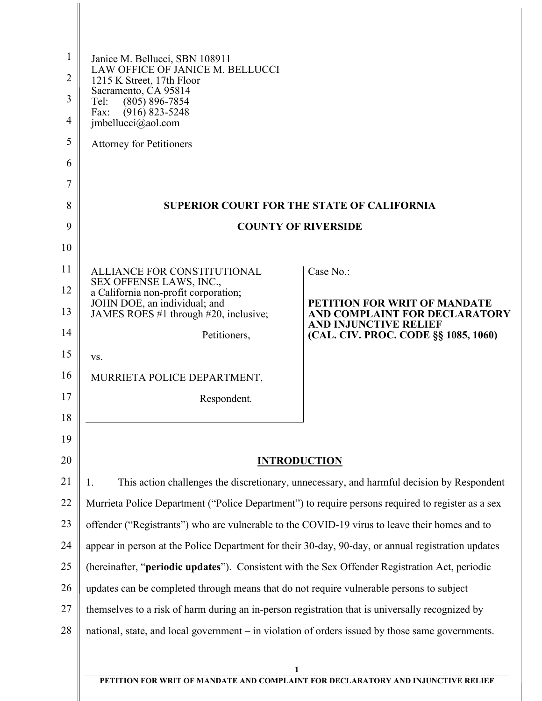| $\mathbf{1}$<br>2<br>3<br>4<br>5<br>6 | Janice M. Bellucci, SBN 108911<br>LAW OFFICE OF JANICE M. BELLUCCI<br>1215 K Street, 17th Floor<br>Sacramento, CA 95814<br>Tel:<br>$(805) 896 - 7854$<br>$(916) 823 - 5248$<br>Fax:<br>imbellucci@aol.com<br><b>Attorney for Petitioners</b> |                                                                                  |
|---------------------------------------|----------------------------------------------------------------------------------------------------------------------------------------------------------------------------------------------------------------------------------------------|----------------------------------------------------------------------------------|
| 7                                     |                                                                                                                                                                                                                                              |                                                                                  |
| 8                                     | <b>SUPERIOR COURT FOR THE STATE OF CALIFORNIA</b>                                                                                                                                                                                            |                                                                                  |
| 9                                     | <b>COUNTY OF RIVERSIDE</b>                                                                                                                                                                                                                   |                                                                                  |
| 10                                    |                                                                                                                                                                                                                                              |                                                                                  |
| 11                                    | ALLIANCE FOR CONSTITUTIONAL                                                                                                                                                                                                                  | Case No.:                                                                        |
| 12                                    | SEX OFFENSE LAWS, INC.,<br>a California non-profit corporation;                                                                                                                                                                              |                                                                                  |
| 13                                    | JOHN DOE, an individual; and<br>JAMES ROES #1 through #20, inclusive;                                                                                                                                                                        | PETITION FOR WRIT OF MANDATE<br>AND COMPLAINT FOR DECLARATORY                    |
| 14                                    | Petitioners,                                                                                                                                                                                                                                 | <b>AND INJUNCTIVE RELIEF</b><br>(CAL. CIV. PROC. CODE §§ 1085, 1060)             |
| 15                                    | VS.                                                                                                                                                                                                                                          |                                                                                  |
| 16                                    | MURRIETA POLICE DEPARTMENT,                                                                                                                                                                                                                  |                                                                                  |
| 17                                    | Respondent.                                                                                                                                                                                                                                  |                                                                                  |
| 18                                    |                                                                                                                                                                                                                                              |                                                                                  |
| 19                                    |                                                                                                                                                                                                                                              |                                                                                  |
| 20                                    |                                                                                                                                                                                                                                              | <b>INTRODUCTION</b>                                                              |
| 21                                    | This action challenges the discretionary, unnecessary, and harmful decision by Respondent<br>1.                                                                                                                                              |                                                                                  |
| 22                                    | Murrieta Police Department ("Police Department") to require persons required to register as a sex                                                                                                                                            |                                                                                  |
| 23                                    | offender ("Registrants") who are vulnerable to the COVID-19 virus to leave their homes and to                                                                                                                                                |                                                                                  |
| 24                                    | appear in person at the Police Department for their 30-day, 90-day, or annual registration updates                                                                                                                                           |                                                                                  |
| 25                                    | (hereinafter, "periodic updates"). Consistent with the Sex Offender Registration Act, periodic                                                                                                                                               |                                                                                  |
| 26                                    | updates can be completed through means that do not require vulnerable persons to subject                                                                                                                                                     |                                                                                  |
| 27                                    | themselves to a risk of harm during an in-person registration that is universally recognized by                                                                                                                                              |                                                                                  |
| 28                                    | national, state, and local government – in violation of orders issued by those same governments.                                                                                                                                             |                                                                                  |
|                                       |                                                                                                                                                                                                                                              |                                                                                  |
|                                       |                                                                                                                                                                                                                                              | PETITION FOR WRIT OF MANDATE AND COMPLAINT FOR DECLARATORY AND INJUNCTIVE RELIEF |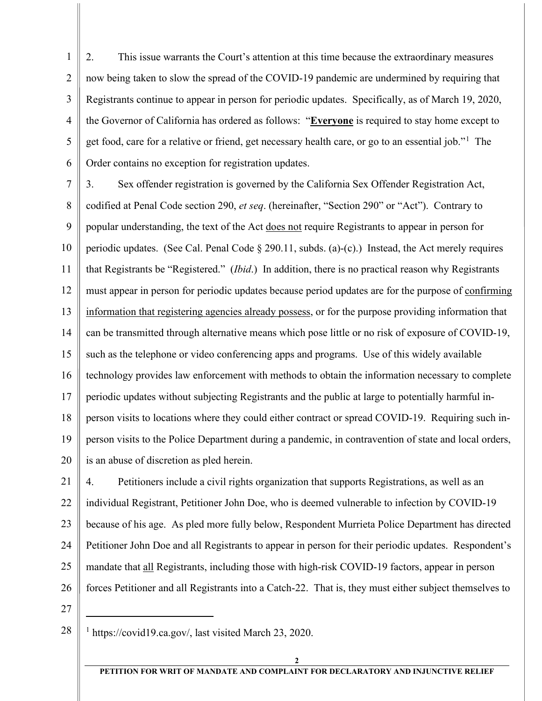1 2 3 4 5 6 2. This issue warrants the Court's attention at this time because the extraordinary measures now being taken to slow the spread of the COVID-19 pandemic are undermined by requiring that Registrants continue to appear in person for periodic updates. Specifically, as of March 19, 2020, the Governor of California has ordered as follows: "**Everyone** is required to stay home except to get food, care for a relative or friend, get necessary health care, or go to an essential job."<sup>[1](#page-1-0)</sup> The Order contains no exception for registration updates.

7 8 9 10 11 12 13 14 15 16 17 18 19 20 3. Sex offender registration is governed by the California Sex Offender Registration Act, codified at Penal Code section 290, *et seq*. (hereinafter, "Section 290" or "Act"). Contrary to popular understanding, the text of the Act does not require Registrants to appear in person for periodic updates. (See Cal. Penal Code § 290.11, subds. (a)-(c).) Instead, the Act merely requires that Registrants be "Registered." (*Ibid*.) In addition, there is no practical reason why Registrants must appear in person for periodic updates because period updates are for the purpose of confirming information that registering agencies already possess, or for the purpose providing information that can be transmitted through alternative means which pose little or no risk of exposure of COVID-19, such as the telephone or video conferencing apps and programs. Use of this widely available technology provides law enforcement with methods to obtain the information necessary to complete periodic updates without subjecting Registrants and the public at large to potentially harmful inperson visits to locations where they could either contract or spread COVID-19. Requiring such inperson visits to the Police Department during a pandemic, in contravention of state and local orders, is an abuse of discretion as pled herein.

21 22 23 24 25 26 4. Petitioners include a civil rights organization that supports Registrations, as well as an individual Registrant, Petitioner John Doe, who is deemed vulnerable to infection by COVID-19 because of his age. As pled more fully below, Respondent Murrieta Police Department has directed Petitioner John Doe and all Registrants to appear in person for their periodic updates. Respondent's mandate that all Registrants, including those with high-risk COVID-19 factors, appear in person forces Petitioner and all Registrants into a Catch-22. That is, they must either subject themselves to

27

<span id="page-1-0"></span><sup>28</sup> <sup>1</sup> https://covid19.ca.gov/, last visited March 23, 2020.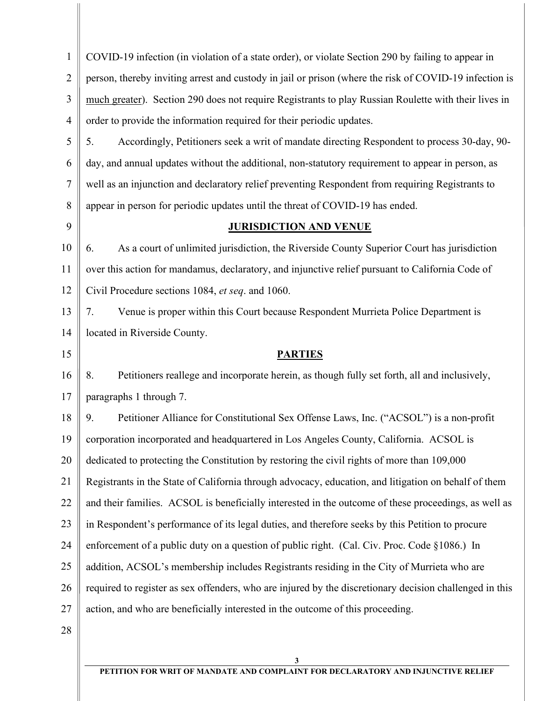| $\mathbf{1}$ | COVID-19 infection (in violation of a state order), or violate Section 290 by failing to appear in      |  |
|--------------|---------------------------------------------------------------------------------------------------------|--|
| 2            | person, thereby inviting arrest and custody in jail or prison (where the risk of COVID-19 infection is  |  |
| 3            | much greater). Section 290 does not require Registrants to play Russian Roulette with their lives in    |  |
| 4            | order to provide the information required for their periodic updates.                                   |  |
| 5            | Accordingly, Petitioners seek a writ of mandate directing Respondent to process 30-day, 90-<br>5.       |  |
| 6            | day, and annual updates without the additional, non-statutory requirement to appear in person, as       |  |
| 7            | well as an injunction and declaratory relief preventing Respondent from requiring Registrants to        |  |
| 8            | appear in person for periodic updates until the threat of COVID-19 has ended.                           |  |
| 9            | <b>JURISDICTION AND VENUE</b>                                                                           |  |
| 10           | As a court of unlimited jurisdiction, the Riverside County Superior Court has jurisdiction<br>6.        |  |
| 11           | over this action for mandamus, declaratory, and injunctive relief pursuant to California Code of        |  |
| 12           | Civil Procedure sections 1084, et seq. and 1060.                                                        |  |
| 13           | Venue is proper within this Court because Respondent Murrieta Police Department is<br>7.                |  |
| 14           | located in Riverside County.                                                                            |  |
| 15           | <b>PARTIES</b>                                                                                          |  |
| 16           | Petitioners reallege and incorporate herein, as though fully set forth, all and inclusively,<br>8.      |  |
| 17           | paragraphs 1 through 7.                                                                                 |  |
| 18           | Petitioner Alliance for Constitutional Sex Offense Laws, Inc. ("ACSOL") is a non-profit<br>9.           |  |
| 19           | corporation incorporated and headquartered in Los Angeles County, California. ACSOL is                  |  |
| 20           | dedicated to protecting the Constitution by restoring the civil rights of more than 109,000             |  |
| 21           | Registrants in the State of California through advocacy, education, and litigation on behalf of them    |  |
| 22           | and their families. ACSOL is beneficially interested in the outcome of these proceedings, as well as    |  |
| 23           | in Respondent's performance of its legal duties, and therefore seeks by this Petition to procure        |  |
| 24           | enforcement of a public duty on a question of public right. (Cal. Civ. Proc. Code §1086.) In            |  |
| 25           | addition, ACSOL's membership includes Registrants residing in the City of Murrieta who are              |  |
| 26           | required to register as sex offenders, who are injured by the discretionary decision challenged in this |  |
| 27           | action, and who are beneficially interested in the outcome of this proceeding.                          |  |
| 28           |                                                                                                         |  |
|              | $\mathbf{3}$                                                                                            |  |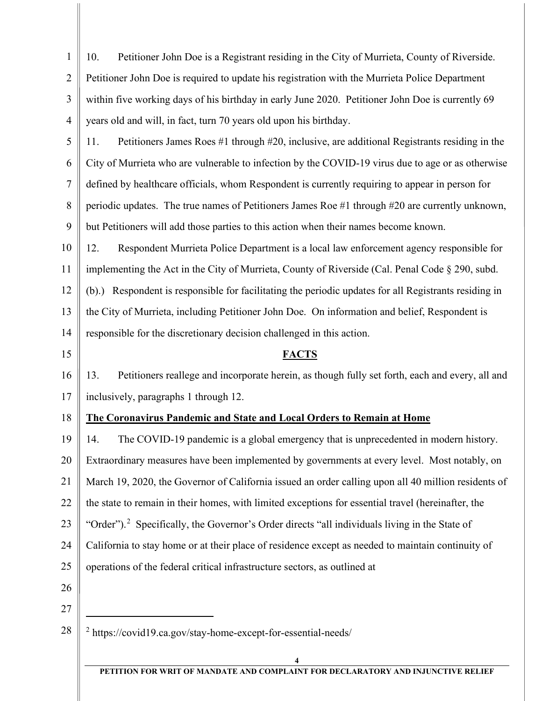1 2 3 4 10. Petitioner John Doe is a Registrant residing in the City of Murrieta, County of Riverside. Petitioner John Doe is required to update his registration with the Murrieta Police Department within five working days of his birthday in early June 2020. Petitioner John Doe is currently 69 years old and will, in fact, turn 70 years old upon his birthday.

5 6 7 8 9 11. Petitioners James Roes #1 through #20, inclusive, are additional Registrants residing in the City of Murrieta who are vulnerable to infection by the COVID-19 virus due to age or as otherwise defined by healthcare officials, whom Respondent is currently requiring to appear in person for periodic updates. The true names of Petitioners James Roe #1 through #20 are currently unknown, but Petitioners will add those parties to this action when their names become known.

10 11 12 13 14 12. Respondent Murrieta Police Department is a local law enforcement agency responsible for implementing the Act in the City of Murrieta, County of Riverside (Cal. Penal Code § 290, subd. (b).) Respondent is responsible for facilitating the periodic updates for all Registrants residing in the City of Murrieta, including Petitioner John Doe. On information and belief, Respondent is responsible for the discretionary decision challenged in this action.

15

# **FACTS**

16 17 13. Petitioners reallege and incorporate herein, as though fully set forth, each and every, all and inclusively, paragraphs 1 through 12.

#### 18 **The Coronavirus Pandemic and State and Local Orders to Remain at Home**

19 20 21 22 23 24 25 26 14. The COVID-19 pandemic is a global emergency that is unprecedented in modern history. Extraordinary measures have been implemented by governments at every level. Most notably, on March 19, 2020, the Governor of California issued an order calling upon all 40 million residents of the state to remain in their homes, with limited exceptions for essential travel (hereinafter, the "Order").<sup>[2](#page-3-0)</sup> Specifically, the Governor's Order directs "all individuals living in the State of California to stay home or at their place of residence except as needed to maintain continuity of operations of the federal critical infrastructure sectors, as outlined at

- 27
- <span id="page-3-0"></span>28 <sup>2</sup> https://covid19.ca.gov/stay-home-except-for-essential-needs/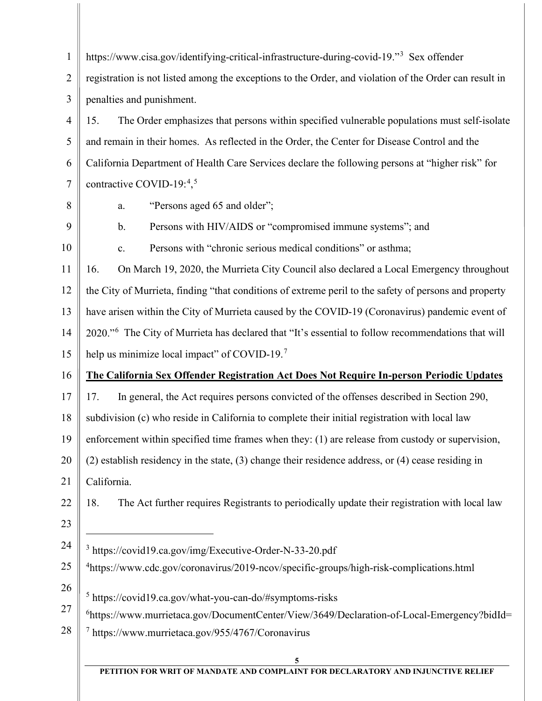| $\mathbf{1}$   | https://www.cisa.gov/identifying-critical-infrastructure-during-covid-19." <sup>3</sup> Sex offender           |  |  |  |
|----------------|----------------------------------------------------------------------------------------------------------------|--|--|--|
| $\overline{2}$ | registration is not listed among the exceptions to the Order, and violation of the Order can result in         |  |  |  |
| 3              | penalties and punishment.                                                                                      |  |  |  |
| $\overline{4}$ | The Order emphasizes that persons within specified vulnerable populations must self-isolate<br>15.             |  |  |  |
| 5              | and remain in their homes. As reflected in the Order, the Center for Disease Control and the                   |  |  |  |
| 6              | California Department of Health Care Services declare the following persons at "higher risk" for               |  |  |  |
| $\tau$         | contractive COVID-19: $4,5$                                                                                    |  |  |  |
| 8              | "Persons aged 65 and older";<br>a.                                                                             |  |  |  |
| 9              | Persons with HIV/AIDS or "compromised immune systems"; and<br>$\mathbf{b}$ .                                   |  |  |  |
| 10             | Persons with "chronic serious medical conditions" or asthma;<br>c.                                             |  |  |  |
| 11             | On March 19, 2020, the Murrieta City Council also declared a Local Emergency throughout<br>16.                 |  |  |  |
| 12             | the City of Murrieta, finding "that conditions of extreme peril to the safety of persons and property          |  |  |  |
| 13             | have arisen within the City of Murrieta caused by the COVID-19 (Coronavirus) pandemic event of                 |  |  |  |
| 14             | 2020." <sup>6</sup> The City of Murrieta has declared that "It's essential to follow recommendations that will |  |  |  |
| 15             | help us minimize local impact" of COVID-19. <sup>7</sup>                                                       |  |  |  |
| 16             | The California Sex Offender Registration Act Does Not Require In-person Periodic Updates                       |  |  |  |
| 17             | In general, the Act requires persons convicted of the offenses described in Section 290,<br>17.                |  |  |  |
| 18             | subdivision (c) who reside in California to complete their initial registration with local law                 |  |  |  |
| 19             | enforcement within specified time frames when they: (1) are release from custody or supervision,               |  |  |  |
| 20             | $(2)$ establish residency in the state, $(3)$ change their residence address, or $(4)$ cease residing in       |  |  |  |
| 21             | California.                                                                                                    |  |  |  |
| 22             | 18.<br>The Act further requires Registrants to periodically update their registration with local law           |  |  |  |
| 23             |                                                                                                                |  |  |  |
| 24             | <sup>3</sup> https://covid19.ca.gov/img/Executive-Order-N-33-20.pdf                                            |  |  |  |
| 25             | <sup>4</sup> https://www.cdc.gov/coronavirus/2019-ncov/specific-groups/high-risk-complications.html            |  |  |  |
| 26             | <sup>5</sup> https://covid19.ca.gov/what-you-can-do/#symptoms-risks                                            |  |  |  |
| 27             | <sup>6</sup> https://www.murrietaca.gov/DocumentCenter/View/3649/Declaration-of-Local-Emergency?bidId=         |  |  |  |
| 28             | <sup>7</sup> https://www.murrietaca.gov/955/4767/Coronavirus                                                   |  |  |  |
|                |                                                                                                                |  |  |  |
|                |                                                                                                                |  |  |  |

<span id="page-4-4"></span><span id="page-4-3"></span><span id="page-4-2"></span><span id="page-4-1"></span><span id="page-4-0"></span>**PETITION FOR WRIT OF MANDATE AND COMPLAINT FOR DECLARATORY AND INJUNCTIVE RELIEF**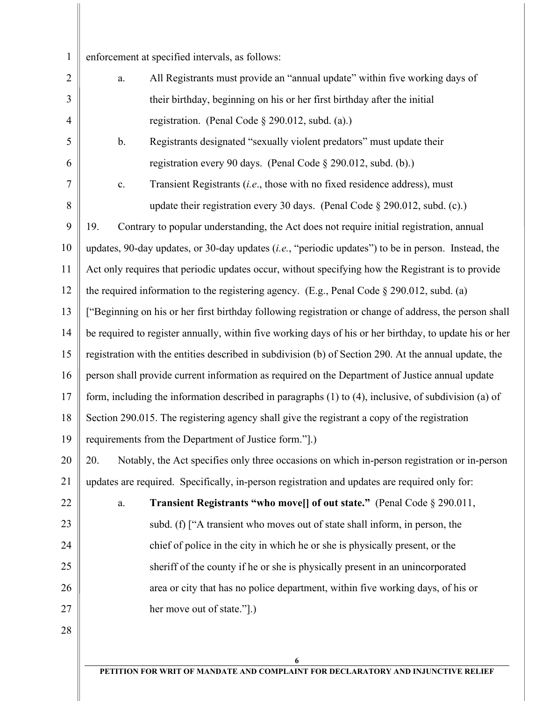1 enforcement at specified intervals, as follows:

5

6

7

8

22

23

24

25

26

27

28

- 2 3 4 a. All Registrants must provide an "annual update" within five working days of their birthday, beginning on his or her first birthday after the initial registration. (Penal Code § 290.012, subd. (a).)
	- b. Registrants designated "sexually violent predators" must update their registration every 90 days. (Penal Code § 290.012, subd. (b).)
		- c. Transient Registrants (*i.e*., those with no fixed residence address), must update their registration every 30 days. (Penal Code § 290.012, subd. (c).)

9 10 11 12 13 14 15 16 17 18 19 19. Contrary to popular understanding, the Act does not require initial registration, annual updates, 90-day updates, or 30-day updates (*i.e.*, "periodic updates") to be in person. Instead, the Act only requires that periodic updates occur, without specifying how the Registrant is to provide the required information to the registering agency. (E.g., Penal Code § 290.012, subd. (a) ["Beginning on his or her first birthday following registration or change of address, the person shall be required to register annually, within five working days of his or her birthday, to update his or her registration with the entities described in subdivision (b) of Section 290. At the annual update, the person shall provide current information as required on the Department of Justice annual update form, including the information described in paragraphs (1) to (4), inclusive, of subdivision (a) of Section 290.015. The registering agency shall give the registrant a copy of the registration requirements from the Department of Justice form."].)

20 21 20. Notably, the Act specifies only three occasions on which in-person registration or in-person updates are required. Specifically, in-person registration and updates are required only for:

> a. **Transient Registrants "who move[] of out state."** (Penal Code § 290.011, subd. (f) ["A transient who moves out of state shall inform, in person, the chief of police in the city in which he or she is physically present, or the sheriff of the county if he or she is physically present in an unincorporated area or city that has no police department, within five working days, of his or her move out of state."].)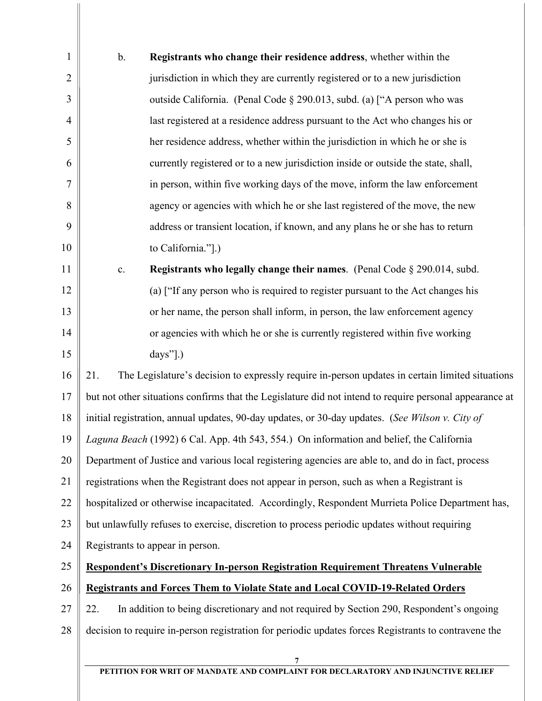| $\mathbf{1}$   | $b$ .                                                                                            | Registrants who change their residence address, whether within the                                      |
|----------------|--------------------------------------------------------------------------------------------------|---------------------------------------------------------------------------------------------------------|
| $\overline{2}$ |                                                                                                  | jurisdiction in which they are currently registered or to a new jurisdiction                            |
| 3              |                                                                                                  | outside California. (Penal Code § 290.013, subd. (a) ["A person who was                                 |
| 4              |                                                                                                  | last registered at a residence address pursuant to the Act who changes his or                           |
| 5              |                                                                                                  | her residence address, whether within the jurisdiction in which he or she is                            |
| 6              |                                                                                                  | currently registered or to a new jurisdiction inside or outside the state, shall,                       |
| $\overline{7}$ |                                                                                                  | in person, within five working days of the move, inform the law enforcement                             |
| 8              |                                                                                                  | agency or agencies with which he or she last registered of the move, the new                            |
| 9              |                                                                                                  | address or transient location, if known, and any plans he or she has to return                          |
| 10             |                                                                                                  | to California."].)                                                                                      |
| 11             | c.                                                                                               | Registrants who legally change their names. (Penal Code § 290.014, subd.                                |
| 12             |                                                                                                  | (a) ["If any person who is required to register pursuant to the Act changes his                         |
| 13             |                                                                                                  | or her name, the person shall inform, in person, the law enforcement agency                             |
| 14             |                                                                                                  | or agencies with which he or she is currently registered within five working                            |
| 15             |                                                                                                  | $\text{days}$ ".)                                                                                       |
| 16             | 21.                                                                                              | The Legislature's decision to expressly require in-person updates in certain limited situations         |
| 17             |                                                                                                  | but not other situations confirms that the Legislature did not intend to require personal appearance at |
| 18             |                                                                                                  | initial registration, annual updates, 90-day updates, or 30-day updates. (See Wilson v. City of         |
| 19             |                                                                                                  | Laguna Beach (1992) 6 Cal. App. 4th 543, 554.) On information and belief, the California                |
| 20             |                                                                                                  | Department of Justice and various local registering agencies are able to, and do in fact, process       |
| 21             |                                                                                                  | registrations when the Registrant does not appear in person, such as when a Registrant is               |
| 22             | hospitalized or otherwise incapacitated. Accordingly, Respondent Murrieta Police Department has, |                                                                                                         |
| 23             | but unlawfully refuses to exercise, discretion to process periodic updates without requiring     |                                                                                                         |
| 24             | Registrants to appear in person.                                                                 |                                                                                                         |
| 25             | Respondent's Discretionary In-person Registration Requirement Threatens Vulnerable               |                                                                                                         |
| 26             | <b>Registrants and Forces Them to Violate State and Local COVID-19-Related Orders</b>            |                                                                                                         |
| 27             | 22.                                                                                              | In addition to being discretionary and not required by Section 290, Respondent's ongoing                |
| 28             |                                                                                                  | decision to require in-person registration for periodic updates forces Registrants to contravene the    |
|                |                                                                                                  | 7                                                                                                       |

**PETITION FOR WRIT OF MANDATE AND COMPLAINT FOR DECLARATORY AND INJUNCTIVE RELIEF**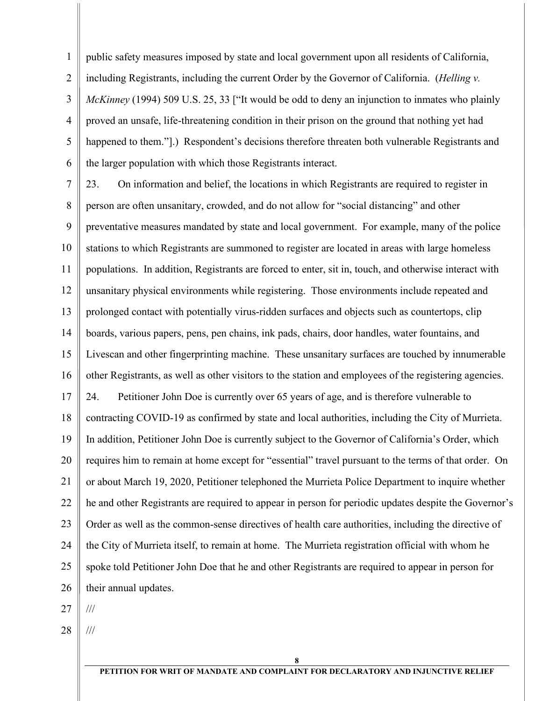1 2 3 4 5 6 public safety measures imposed by state and local government upon all residents of California, including Registrants, including the current Order by the Governor of California. (*Helling v. McKinney* (1994) 509 U.S. 25, 33 ["It would be odd to deny an injunction to inmates who plainly proved an unsafe, life-threatening condition in their prison on the ground that nothing yet had happened to them.".) Respondent's decisions therefore threaten both vulnerable Registrants and the larger population with which those Registrants interact.

7 8 9 10 11 12 13 14 15 16 17 18 19 20 21 22 23 24 25 26 23. On information and belief, the locations in which Registrants are required to register in person are often unsanitary, crowded, and do not allow for "social distancing" and other preventative measures mandated by state and local government. For example, many of the police stations to which Registrants are summoned to register are located in areas with large homeless populations. In addition, Registrants are forced to enter, sit in, touch, and otherwise interact with unsanitary physical environments while registering. Those environments include repeated and prolonged contact with potentially virus-ridden surfaces and objects such as countertops, clip boards, various papers, pens, pen chains, ink pads, chairs, door handles, water fountains, and Livescan and other fingerprinting machine. These unsanitary surfaces are touched by innumerable other Registrants, as well as other visitors to the station and employees of the registering agencies. 24. Petitioner John Doe is currently over 65 years of age, and is therefore vulnerable to contracting COVID-19 as confirmed by state and local authorities, including the City of Murrieta. In addition, Petitioner John Doe is currently subject to the Governor of California's Order, which requires him to remain at home except for "essential" travel pursuant to the terms of that order. On or about March 19, 2020, Petitioner telephoned the Murrieta Police Department to inquire whether he and other Registrants are required to appear in person for periodic updates despite the Governor's Order as well as the common-sense directives of health care authorities, including the directive of the City of Murrieta itself, to remain at home. The Murrieta registration official with whom he spoke told Petitioner John Doe that he and other Registrants are required to appear in person for their annual updates.

27 ///

28 ///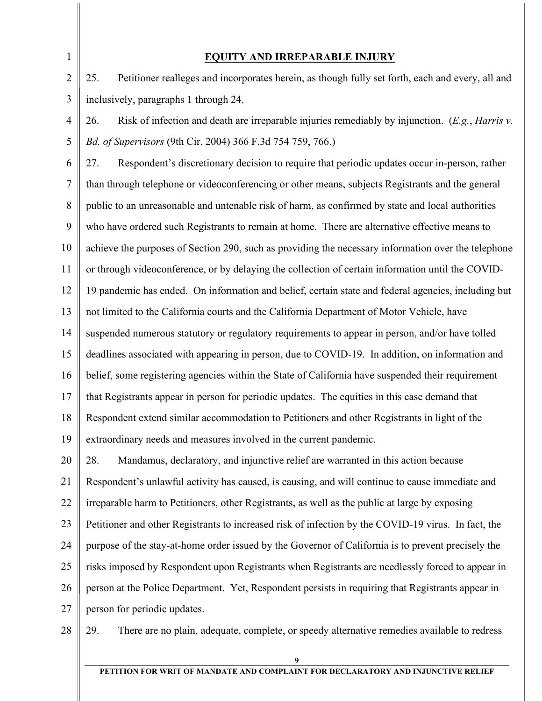1

### **EQUITY AND IRREPARABLE INJURY**

2 3 25. Petitioner realleges and incorporates herein, as though fully set forth, each and every, all and inclusively, paragraphs 1 through 24.

4 5 26. Risk of infection and death are irreparable injuries remediably by injunction. (*E.g.*, *Harris v. Bd. of Supervisors* (9th Cir. 2004) 366 F.3d 754 759, 766.)

6 7 8 9 10 11 12 13 14 15 16 17 18 19 27. Respondent's discretionary decision to require that periodic updates occur in-person, rather than through telephone or videoconferencing or other means, subjects Registrants and the general public to an unreasonable and untenable risk of harm, as confirmed by state and local authorities who have ordered such Registrants to remain at home. There are alternative effective means to achieve the purposes of Section 290, such as providing the necessary information over the telephone or through videoconference, or by delaying the collection of certain information until the COVID-19 pandemic has ended. On information and belief, certain state and federal agencies, including but not limited to the California courts and the California Department of Motor Vehicle, have suspended numerous statutory or regulatory requirements to appear in person, and/or have tolled deadlines associated with appearing in person, due to COVID-19. In addition, on information and belief, some registering agencies within the State of California have suspended their requirement that Registrants appear in person for periodic updates. The equities in this case demand that Respondent extend similar accommodation to Petitioners and other Registrants in light of the extraordinary needs and measures involved in the current pandemic.

20 21 22 23 24 25 26 27 28. Mandamus, declaratory, and injunctive relief are warranted in this action because Respondent's unlawful activity has caused, is causing, and will continue to cause immediate and irreparable harm to Petitioners, other Registrants, as well as the public at large by exposing Petitioner and other Registrants to increased risk of infection by the COVID-19 virus. In fact, the purpose of the stay-at-home order issued by the Governor of California is to prevent precisely the risks imposed by Respondent upon Registrants when Registrants are needlessly forced to appear in person at the Police Department. Yet, Respondent persists in requiring that Registrants appear in person for periodic updates.

28

29. There are no plain, adequate, complete, or speedy alternative remedies available to redress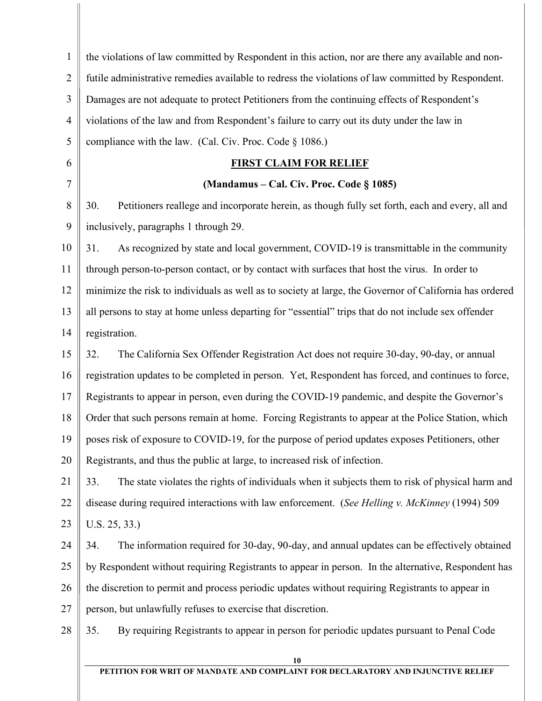| $\mathbf{1}$   | the violations of law committed by Respondent in this action, nor are there any available and non-      |  |  |
|----------------|---------------------------------------------------------------------------------------------------------|--|--|
| $\overline{2}$ | futile administrative remedies available to redress the violations of law committed by Respondent.      |  |  |
| 3              | Damages are not adequate to protect Petitioners from the continuing effects of Respondent's             |  |  |
| $\overline{4}$ | violations of the law and from Respondent's failure to carry out its duty under the law in              |  |  |
| 5              | compliance with the law. (Cal. Civ. Proc. Code § 1086.)                                                 |  |  |
| 6              | <b>FIRST CLAIM FOR RELIEF</b>                                                                           |  |  |
| $\overline{7}$ | (Mandamus – Cal. Civ. Proc. Code § 1085)                                                                |  |  |
| 8              | 30.<br>Petitioners reallege and incorporate herein, as though fully set forth, each and every, all and  |  |  |
| 9              | inclusively, paragraphs 1 through 29.                                                                   |  |  |
| 10             | As recognized by state and local government, COVID-19 is transmittable in the community<br>31.          |  |  |
| 11             | through person-to-person contact, or by contact with surfaces that host the virus. In order to          |  |  |
| 12             | minimize the risk to individuals as well as to society at large, the Governor of California has ordered |  |  |
| 13             | all persons to stay at home unless departing for "essential" trips that do not include sex offender     |  |  |
| 14             | registration.                                                                                           |  |  |
| 15             | The California Sex Offender Registration Act does not require 30-day, 90-day, or annual<br>32.          |  |  |
| 16             | registration updates to be completed in person. Yet, Respondent has forced, and continues to force,     |  |  |
| 17             | Registrants to appear in person, even during the COVID-19 pandemic, and despite the Governor's          |  |  |
| 18             | Order that such persons remain at home. Forcing Registrants to appear at the Police Station, which      |  |  |
| 19             | poses risk of exposure to COVID-19, for the purpose of period updates exposes Petitioners, other        |  |  |
| 20             | Registrants, and thus the public at large, to increased risk of infection.                              |  |  |
| 21             | The state violates the rights of individuals when it subjects them to risk of physical harm and<br>33.  |  |  |
| 22             | disease during required interactions with law enforcement. (See Helling v. McKinney (1994) 509          |  |  |
| 23             | U.S. 25, 33.)                                                                                           |  |  |
| 24             | The information required for 30-day, 90-day, and annual updates can be effectively obtained<br>34.      |  |  |
| 25             | by Respondent without requiring Registrants to appear in person. In the alternative, Respondent has     |  |  |
| 26             | the discretion to permit and process periodic updates without requiring Registrants to appear in        |  |  |
| 27             | person, but unlawfully refuses to exercise that discretion.                                             |  |  |
| 28             | By requiring Registrants to appear in person for periodic updates pursuant to Penal Code<br>35.         |  |  |
|                |                                                                                                         |  |  |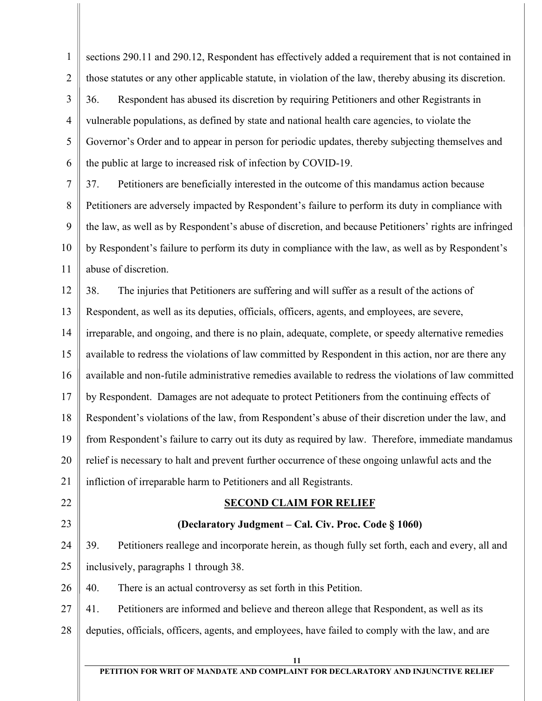1 2 3 4 5 6 sections 290.11 and 290.12, Respondent has effectively added a requirement that is not contained in those statutes or any other applicable statute, in violation of the law, thereby abusing its discretion. 36. Respondent has abused its discretion by requiring Petitioners and other Registrants in vulnerable populations, as defined by state and national health care agencies, to violate the Governor's Order and to appear in person for periodic updates, thereby subjecting themselves and the public at large to increased risk of infection by COVID-19.

7 8 9 10 11 37. Petitioners are beneficially interested in the outcome of this mandamus action because Petitioners are adversely impacted by Respondent's failure to perform its duty in compliance with the law, as well as by Respondent's abuse of discretion, and because Petitioners' rights are infringed by Respondent's failure to perform its duty in compliance with the law, as well as by Respondent's abuse of discretion.

12 13 14 15 16 17 18 19 20 21 38. The injuries that Petitioners are suffering and will suffer as a result of the actions of Respondent, as well as its deputies, officials, officers, agents, and employees, are severe, irreparable, and ongoing, and there is no plain, adequate, complete, or speedy alternative remedies available to redress the violations of law committed by Respondent in this action, nor are there any available and non-futile administrative remedies available to redress the violations of law committed by Respondent. Damages are not adequate to protect Petitioners from the continuing effects of Respondent's violations of the law, from Respondent's abuse of their discretion under the law, and from Respondent's failure to carry out its duty as required by law. Therefore, immediate mandamus relief is necessary to halt and prevent further occurrence of these ongoing unlawful acts and the infliction of irreparable harm to Petitioners and all Registrants.

- 22
- 23

# **SECOND CLAIM FOR RELIEF**

## **(Declaratory Judgment – Cal. Civ. Proc. Code § 1060)**

24 25 39. Petitioners reallege and incorporate herein, as though fully set forth, each and every, all and inclusively, paragraphs 1 through 38.

26 40. There is an actual controversy as set forth in this Petition.

27 28 41. Petitioners are informed and believe and thereon allege that Respondent, as well as its deputies, officials, officers, agents, and employees, have failed to comply with the law, and are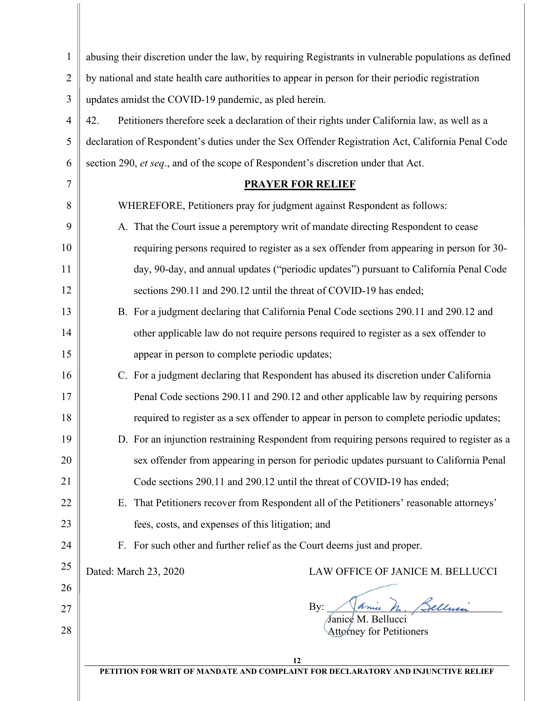| $\mathbf{1}$   | abusing their discretion under the law, by requiring Registrants in vulnerable populations as defined |  |
|----------------|-------------------------------------------------------------------------------------------------------|--|
| $\overline{2}$ | by national and state health care authorities to appear in person for their periodic registration     |  |
| 3              | updates amidst the COVID-19 pandemic, as pled herein.                                                 |  |
| $\overline{4}$ | Petitioners therefore seek a declaration of their rights under California law, as well as a<br>42.    |  |
| 5              | declaration of Respondent's duties under the Sex Offender Registration Act, California Penal Code     |  |
| 6              | section 290, et seq., and of the scope of Respondent's discretion under that Act.                     |  |
| 7              | <b>PRAYER FOR RELIEF</b>                                                                              |  |
| 8              | WHEREFORE, Petitioners pray for judgment against Respondent as follows:                               |  |
| 9              | A. That the Court issue a peremptory writ of mandate directing Respondent to cease                    |  |
| 10             | requiring persons required to register as a sex offender from appearing in person for 30-             |  |
| 11             | day, 90-day, and annual updates ("periodic updates") pursuant to California Penal Code                |  |
| 12             | sections 290.11 and 290.12 until the threat of COVID-19 has ended;                                    |  |
| 13             | B. For a judgment declaring that California Penal Code sections 290.11 and 290.12 and                 |  |
| 14             | other applicable law do not require persons required to register as a sex offender to                 |  |
| 15             | appear in person to complete periodic updates;                                                        |  |
| 16             | C. For a judgment declaring that Respondent has abused its discretion under California                |  |
| 17             | Penal Code sections 290.11 and 290.12 and other applicable law by requiring persons                   |  |
| 18             | required to register as a sex offender to appear in person to complete periodic updates;              |  |
| 19             | D. For an injunction restraining Respondent from requiring persons required to register as a          |  |
| 20             | sex offender from appearing in person for periodic updates pursuant to California Penal               |  |
| 21             | Code sections 290.11 and 290.12 until the threat of COVID-19 has ended;                               |  |
| 22             | That Petitioners recover from Respondent all of the Petitioners' reasonable attorneys'<br>Е.          |  |
| 23             | fees, costs, and expenses of this litigation; and                                                     |  |
| 24             | F. For such other and further relief as the Court deems just and proper.                              |  |
| 25             | Dated: March 23, 2020<br>LAW OFFICE OF JANICE M. BELLUCCI                                             |  |
| 26             |                                                                                                       |  |
| 27             | ellui<br>By:<br>Janice M.<br><b>Bellucci</b>                                                          |  |
| 28             | <b>Attorney for Petitioners</b>                                                                       |  |
|                | 12                                                                                                    |  |
|                | PETITION FOR WRIT OF MANDATE AND COMPLAINT FOR DECLARATORY AND INJUNCTIVE RELIEF                      |  |